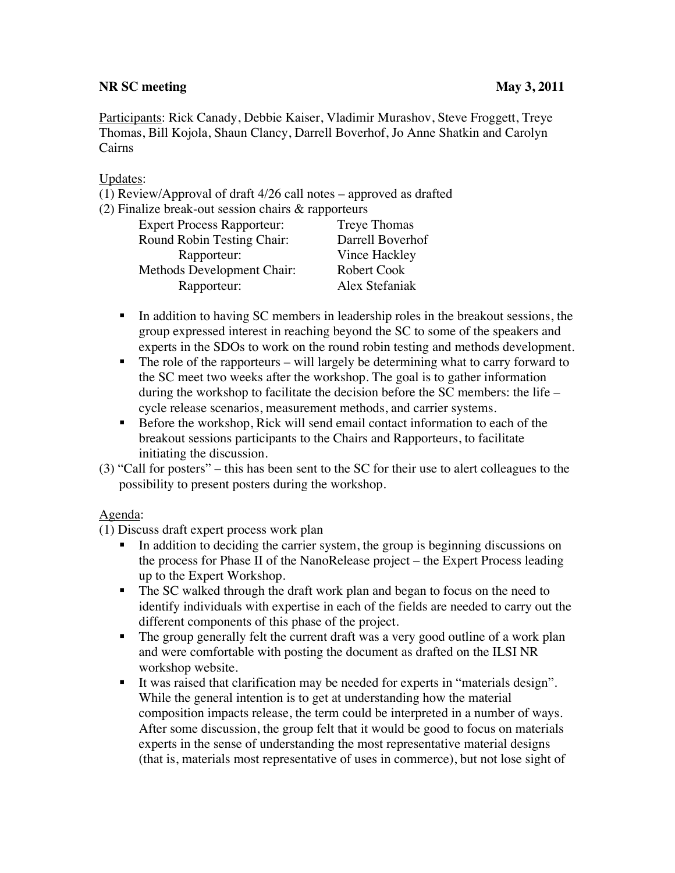### **NR SC meeting May 3, 2011**

Participants: Rick Canady, Debbie Kaiser, Vladimir Murashov, Steve Froggett, Treye Thomas, Bill Kojola, Shaun Clancy, Darrell Boverhof, Jo Anne Shatkin and Carolyn Cairns

### Updates:

(1) Review/Approval of draft 4/26 call notes – approved as drafted

(2) Finalize break-out session chairs & rapporteurs

| <b>Expert Process Rapporteur:</b> | <b>Treye Thomas</b> |
|-----------------------------------|---------------------|
| Round Robin Testing Chair:        | Darrell Boverhof    |
| Rapporteur:                       | Vince Hackley       |
| Methods Development Chair:        | Robert Cook         |
| Rapporteur:                       | Alex Stefaniak      |
|                                   |                     |

- In addition to having SC members in leadership roles in the breakout sessions, the group expressed interest in reaching beyond the SC to some of the speakers and experts in the SDOs to work on the round robin testing and methods development.
- The role of the rapporteurs will largely be determining what to carry forward to the SC meet two weeks after the workshop. The goal is to gather information during the workshop to facilitate the decision before the SC members: the life – cycle release scenarios, measurement methods, and carrier systems.
- Before the workshop, Rick will send email contact information to each of the breakout sessions participants to the Chairs and Rapporteurs, to facilitate initiating the discussion.
- (3) "Call for posters" this has been sent to the SC for their use to alert colleagues to the possibility to present posters during the workshop.

## Agenda:

(1) Discuss draft expert process work plan

- In addition to deciding the carrier system, the group is beginning discussions on the process for Phase II of the NanoRelease project – the Expert Process leading up to the Expert Workshop.
- The SC walked through the draft work plan and began to focus on the need to identify individuals with expertise in each of the fields are needed to carry out the different components of this phase of the project.
- The group generally felt the current draft was a very good outline of a work plan and were comfortable with posting the document as drafted on the ILSI NR workshop website.
- It was raised that clarification may be needed for experts in "materials design". While the general intention is to get at understanding how the material composition impacts release, the term could be interpreted in a number of ways. After some discussion, the group felt that it would be good to focus on materials experts in the sense of understanding the most representative material designs (that is, materials most representative of uses in commerce), but not lose sight of